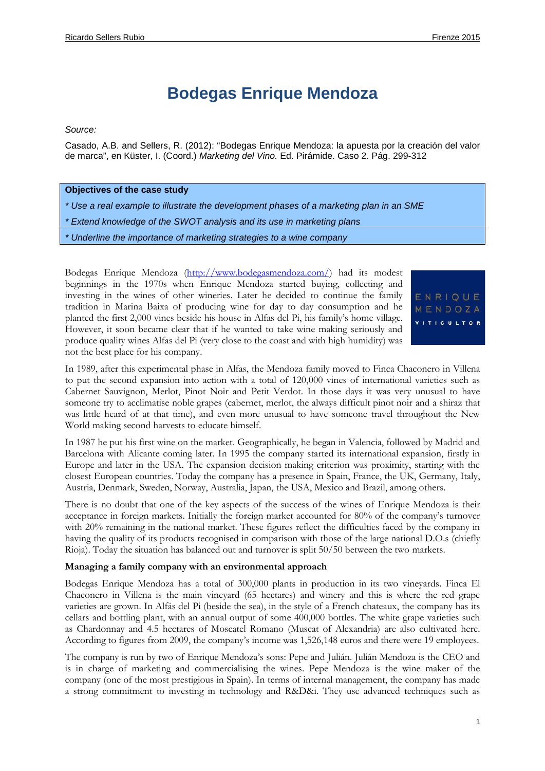# **Bodegas Enrique Mendoza**

#### *Source:*

Casado, A.B. and Sellers, R. (2012): "Bodegas Enrique Mendoza: la apuesta por la creación del valor de marca", en Küster, I. (Coord.) *Marketing del Vino.* Ed. Pirámide. Caso 2. Pág. 299-312

#### **Objectives of the case study**

*\* Use a real example to illustrate the development phases of a marketing plan in an SME*

- *\* Extend knowledge of the SWOT analysis and its use in marketing plans*
- *\* Underline the importance of marketing strategies to a wine company*

Bodegas Enrique Mendoza (http://www.bodegasmendoza.com/) had its modest beginnings in the 1970s when Enrique Mendoza started buying, collecting and investing in the wines of other wineries. Later he decided to continue the family  $E \cap R$  ou  $E$ tradition in Marina Baixa of producing wine for day to day consumption and he  $M \in N$  DO ZA planted the first 2,000 vines beside his house in Alfas del Pi, his family's home village. However, it soon became clear that if he wanted to take wine making seriously and produce quality wines Alfas del Pi (very close to the coast and with high humidity) was not the best place for his company.

In 1989, after this experimental phase in Alfas, the Mendoza family moved to Finca Chaconero in Villena to put the second expansion into action with a total of 120,000 vines of international varieties such as Cabernet Sauvignon, Merlot, Pinot Noir and Petit Verdot. In those days it was very unusual to have someone try to acclimatise noble grapes (cabernet, merlot, the always difficult pinot noir and a shiraz that was little heard of at that time), and even more unusual to have someone travel throughout the New World making second harvests to educate himself.

In 1987 he put his first wine on the market. Geographically, he began in Valencia, followed by Madrid and Barcelona with Alicante coming later. In 1995 the company started its international expansion, firstly in Europe and later in the USA. The expansion decision making criterion was proximity, starting with the closest European countries. Today the company has a presence in Spain, France, the UK, Germany, Italy, Austria, Denmark, Sweden, Norway, Australia, Japan, the USA, Mexico and Brazil, among others.

There is no doubt that one of the key aspects of the success of the wines of Enrique Mendoza is their acceptance in foreign markets. Initially the foreign market accounted for 80% of the company's turnover with 20% remaining in the national market. These figures reflect the difficulties faced by the company in having the quality of its products recognised in comparison with those of the large national D.O.s (chiefly Rioja). Today the situation has balanced out and turnover is split 50/50 between the two markets.

#### **Managing a family company with an environmental approach**

Bodegas Enrique Mendoza has a total of 300,000 plants in production in its two vineyards. Finca El Chaconero in Villena is the main vineyard (65 hectares) and winery and this is where the red grape varieties are grown. In Alfás del Pi (beside the sea), in the style of a French chateaux, the company has its cellars and bottling plant, with an annual output of some 400,000 bottles. The white grape varieties such as Chardonnay and 4.5 hectares of Moscatel Romano (Muscat of Alexandria) are also cultivated here. According to figures from 2009, the company's income was 1,526,148 euros and there were 19 employees.

The company is run by two of Enrique Mendoza's sons: Pepe and Julián. Julián Mendoza is the CEO and is in charge of marketing and commercialising the wines. Pepe Mendoza is the wine maker of the company (one of the most prestigious in Spain). In terms of internal management, the company has made a strong commitment to investing in technology and R&D&i. They use advanced techniques such as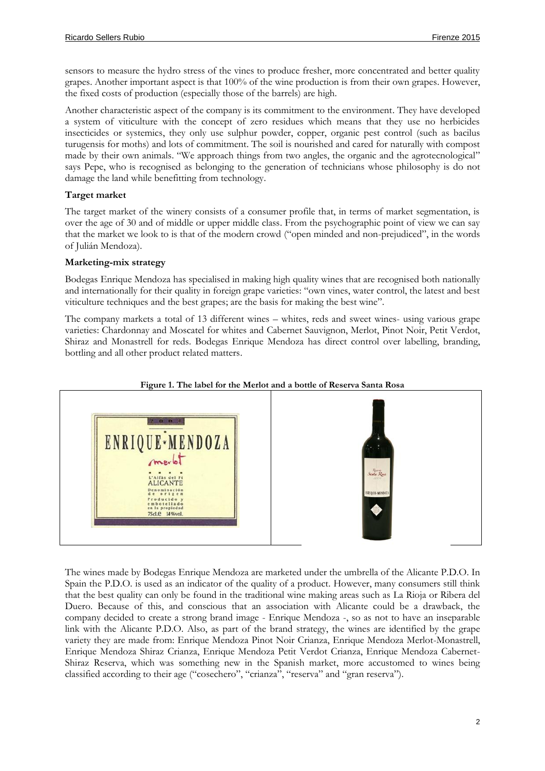sensors to measure the hydro stress of the vines to produce fresher, more concentrated and better quality grapes. Another important aspect is that 100% of the wine production is from their own grapes. However, the fixed costs of production (especially those of the barrels) are high.

Another characteristic aspect of the company is its commitment to the environment. They have developed a system of viticulture with the concept of zero residues which means that they use no herbicides insecticides or systemics, they only use sulphur powder, copper, organic pest control (such as bacilus turugensis for moths) and lots of commitment. The soil is nourished and cared for naturally with compost made by their own animals. "We approach things from two angles, the organic and the agrotecnological" says Pepe, who is recognised as belonging to the generation of technicians whose philosophy is do not damage the land while benefitting from technology.

## **Target market**

The target market of the winery consists of a consumer profile that, in terms of market segmentation, is over the age of 30 and of middle or upper middle class. From the psychographic point of view we can say that the market we look to is that of the modern crowd ("open minded and non-prejudiced", in the words of Julián Mendoza).

## **Marketing-mix strategy**

Bodegas Enrique Mendoza has specialised in making high quality wines that are recognised both nationally and internationally for their quality in foreign grape varieties: "own vines, water control, the latest and best viticulture techniques and the best grapes; are the basis for making the best wine".

The company markets a total of 13 different wines – whites, reds and sweet wines- using various grape varieties: Chardonnay and Moscatel for whites and Cabernet Sauvignon, Merlot, Pinot Noir, Petit Verdot, Shiraz and Monastrell for reds. Bodegas Enrique Mendoza has direct control over labelling, branding, bottling and all other product related matters.



### **Figure 1. The label for the Merlot and a bottle of Reserva Santa Rosa**

The wines made by Bodegas Enrique Mendoza are marketed under the umbrella of the Alicante P.D.O. In Spain the P.D.O. is used as an indicator of the quality of a product. However, many consumers still think that the best quality can only be found in the traditional wine making areas such as La Rioja or Ribera del Duero. Because of this, and conscious that an association with Alicante could be a drawback, the company decided to create a strong brand image - Enrique Mendoza -, so as not to have an inseparable link with the Alicante P.D.O. Also, as part of the brand strategy, the wines are identified by the grape variety they are made from: Enrique Mendoza Pinot Noir Crianza, Enrique Mendoza Merlot-Monastrell, Enrique Mendoza Shiraz Crianza, Enrique Mendoza Petit Verdot Crianza, Enrique Mendoza Cabernet- Shiraz Reserva, which was something new in the Spanish market, more accustomed to wines being classified according to their age ("cosechero", "crianza", "reserva" and "gran reserva").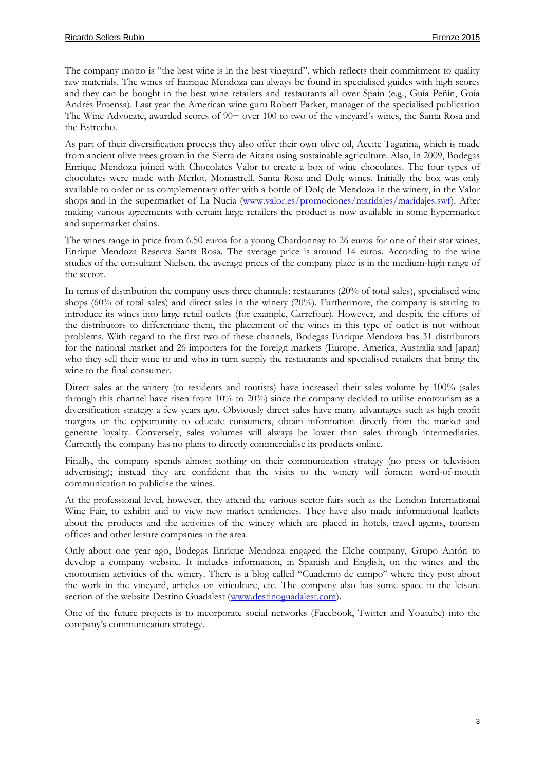The company motto is "the best wine is in the best vineyard", which reflects their commitment to quality raw materials. The wines of Enrique Mendoza can always be found in specialised guides with high scores and they can be bought in the best wine retailers and restaurants all over Spain (e.g., Guía Peñín, Guía Andrés Proensa). Last year the American wine guru Robert Parker, manager of the specialised publication The Wine Advocate, awarded scores of 90+ over 100 to two of the vineyard's wines, the Santa Rosa and the Estrecho.

As part of their diversification process they also offer their own olive oil, Aceite Tagarina, which is made from ancient olive trees grown in the Sierra de Aitana using sustainable agriculture. Also, in 2009, Bodegas Enrique Mendoza joined with Chocolates Valor to create a box of wine chocolates. The four types of chocolates were made with Merlot, Monastrell, Santa Rosa and Dolç wines. Initially the box was only available to order or as complementary offer with a bottle of Dolç de Mendoza in the winery, in the Valor shops and in the supermarket of La Nucía (www.valor.es/promociones/maridajes/maridajes.swf). After making various agreements with certain large retailers the product is now available in some hypermarket and supermarket chains.

The wines range in price from 6.50 euros for a young Chardonnay to 26 euros for one of their star wines, Enrique Mendoza Reserva Santa Rosa. The average price is around 14 euros. According to the wine studies of the consultant Nielsen, the average prices of the company place is in the medium-high range of the sector.

In terms of distribution the company uses three channels: restaurants (20% of total sales), specialised wine shops (60% of total sales) and direct sales in the winery (20%). Furthermore, the company is starting to introduce its wines into large retail outlets (for example, Carrefour). However, and despite the efforts of the distributors to differentiate them, the placement of the wines in this type of outlet is not without problems. With regard to the first two of these channels, Bodegas Enrique Mendoza has 31 distributors for the national market and 26 importers for the foreign markets (Europe, America, Australia and Japan) who they sell their wine to and who in turn supply the restaurants and specialised retailers that bring the wine to the final consumer.

Direct sales at the winery (to residents and tourists) have increased their sales volume by 100% (sales through this channel have risen from 10% to 20%) since the company decided to utilise enotourism as a diversification strategy a few years ago. Obviously direct sales have many advantages such as high profit margins or the opportunity to educate consumers, obtain information directly from the market and generate loyalty. Conversely, sales volumes will always be lower than sales through intermediaries. Currently the company has no plans to directly commercialise its products online.

Finally, the company spends almost nothing on their communication strategy (no press or television advertising); instead they are confident that the visits to the winery will foment word-of-mouth communication to publicise the wines.

At the professional level, however, they attend the various sector fairs such as the London International Wine Fair, to exhibit and to view new market tendencies. They have also made informational leaflets about the products and the activities of the winery which are placed in hotels, travel agents, tourism offices and other leisure companies in the area.

Only about one year ago, Bodegas Enrique Mendoza engaged the Elche company, Grupo Antón to develop a company website. It includes information, in Spanish and English, on the wines and the enotourism activities of the winery. There is a blog called "Cuaderno de campo" where they post about the work in the vineyard, articles on viticulture, etc. The company also has some space in the leisure section of the website Destino Guadalest (www.destinoguadalest.com).

One of the future projects is to incorporate social networks (Facebook, Twitter and Youtube) into the company's communication strategy.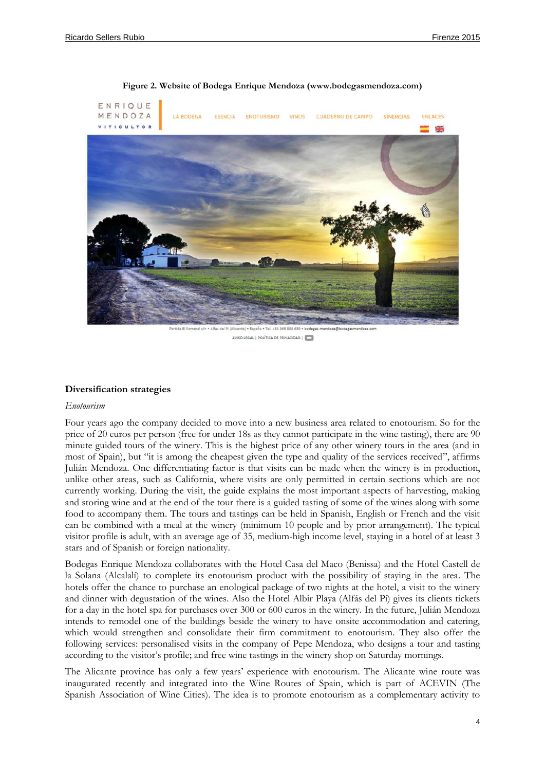

**Figure 2. Website of Bodega Enrique Mendoza (www.bodegasmendoza.com)**

AVISO LEGAL | POLÍTICA DE PRIVACIDAD |

## **Diversification strategies**

#### *Enotourism*

Four years ago the company decided to move into a new business area related to enotourism. So for the price of 20 euros per person (free for under 18s as they cannot participate in the wine tasting), there are 90 minute guided tours of the winery. This is the highest price of any other winery tours in the area (and in most of Spain), but "it is among the cheapest given the type and quality of the services received", affirms Julián Mendoza. One differentiating factor is that visits can be made when the winery is in production, unlike other areas, such as California, where visits are only permitted in certain sections which are not currently working. During the visit, the guide explains the most important aspects of harvesting, making and storing wine and at the end of the tour there is a guided tasting of some of the wines along with some food to accompany them. The tours and tastings can be held in Spanish, English or French and the visit can be combined with a meal at the winery (minimum 10 people and by prior arrangement). The typical visitor profile is adult, with an average age of 35, medium-high income level, staying in a hotel of at least 3 stars and of Spanish or foreign nationality.

Bodegas Enrique Mendoza collaborates with the Hotel Casa del Maco (Benissa) and the Hotel Castell de la Solana (Alcalalí) to complete its enotourism product with the possibility of staying in the area. The hotels offer the chance to purchase an enological package of two nights at the hotel, a visit to the winery and dinner with degustation of the wines. Also the Hotel Albir Playa (Alfás del Pi) gives its clients tickets for a day in the hotel spa for purchases over 300 or 600 euros in the winery. In the future, Julián Mendoza intends to remodel one of the buildings beside the winery to have onsite accommodation and catering, which would strengthen and consolidate their firm commitment to enotourism. They also offer the following services: personalised visits in the company of Pepe Mendoza, who designs a tour and tasting according to the visitor's profile; and free wine tastings in the winery shop on Saturday mornings.

The Alicante province has only a few years' experience with enotourism. The Alicante wine route was inaugurated recently and integrated into the Wine Routes of Spain, which is part of ACEVIN (The Spanish Association of Wine Cities). The idea is to promote enotourism as a complementary activity to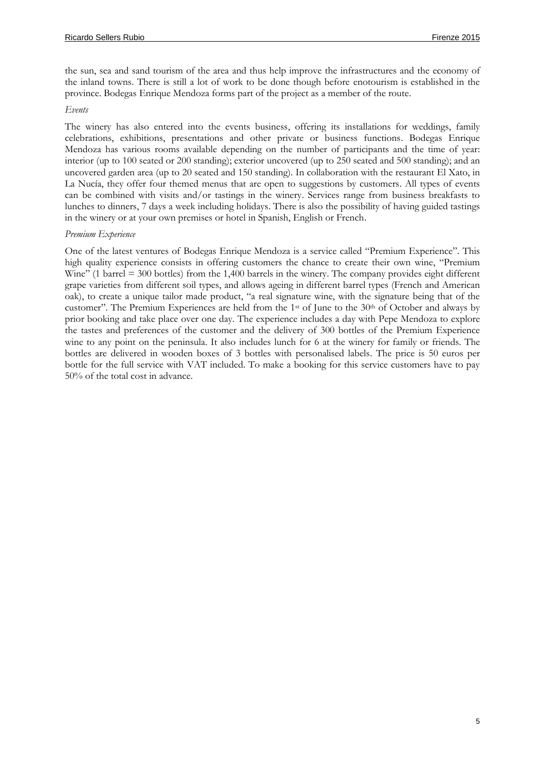the sun, sea and sand tourism of the area and thus help improve the infrastructures and the economy of the inland towns. There is still a lot of work to be done though before enotourism is established in the province. Bodegas Enrique Mendoza forms part of the project as a member of the route.

## *Events*

The winery has also entered into the events business, offering its installations for weddings, family celebrations, exhibitions, presentations and other private or business functions. Bodegas Enrique Mendoza has various rooms available depending on the number of participants and the time of year: interior (up to 100 seated or 200 standing); exterior uncovered (up to 250 seated and 500 standing); and an uncovered garden area (up to 20 seated and 150 standing). In collaboration with the restaurant El Xato, in La Nucía, they offer four themed menus that are open to suggestions by customers. All types of events can be combined with visits and/or tastings in the winery. Services range from business breakfasts to lunches to dinners, 7 days a week including holidays. There is also the possibility of having guided tastings in the winery or at your own premises or hotel in Spanish, English or French.

## *Premium Experience*

One of the latest ventures of Bodegas Enrique Mendoza is a service called "Premium Experience". This high quality experience consists in offering customers the chance to create their own wine, "Premium Wine" (1 barrel  $=$  300 bottles) from the 1,400 barrels in the winery. The company provides eight different grape varieties from different soil types, and allows ageing in different barrel types (French and American oak), to create a unique tailor made product, "a real signature wine, with the signature being that of the customer". The Premium Experiences are held from the 1<sup>st</sup> of June to the 30<sup>th</sup> of October and always by prior booking and take place over one day. The experience includes a day with Pepe Mendoza to explore the tastes and preferences of the customer and the delivery of 300 bottles of the Premium Experience wine to any point on the peninsula. It also includes lunch for 6 at the winery for family or friends. The bottles are delivered in wooden boxes of 3 bottles with personalised labels. The price is 50 euros per bottle for the full service with VAT included. To make a booking for this service customers have to pay 50% of the total cost in advance.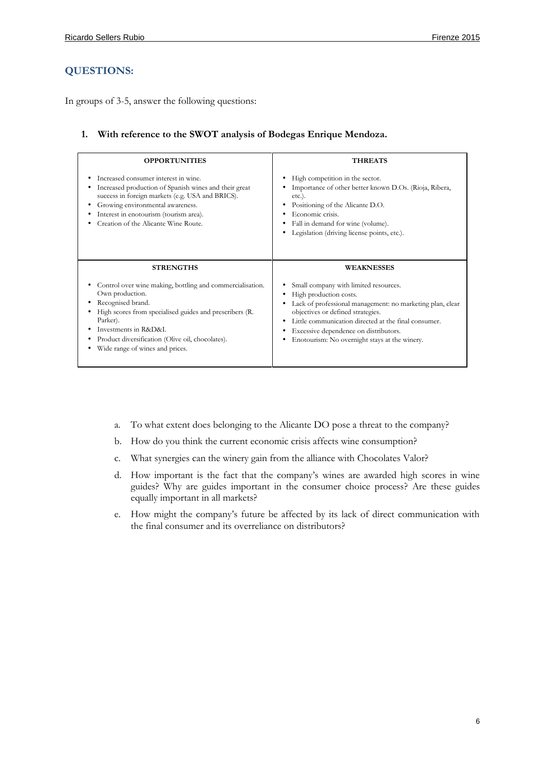## **QUESTIONS:**

In groups of 3-5, answer the following questions:

## **1. With reference to the SWOT analysis of Bodegas Enrique Mendoza.**

| <b>OPPORTUNITIES</b>                                                                                                                                                                                                                                                                    | <b>THREATS</b>                                                                                                                                                                                                                                                                                                                |
|-----------------------------------------------------------------------------------------------------------------------------------------------------------------------------------------------------------------------------------------------------------------------------------------|-------------------------------------------------------------------------------------------------------------------------------------------------------------------------------------------------------------------------------------------------------------------------------------------------------------------------------|
| Increased consumer interest in wine.<br>Increased production of Spanish wines and their great<br>success in foreign markets (e.g. USA and BRICS).<br>Growing environmental awareness.<br>Interest in enotourism (tourism area).<br>Creation of the Alicante Wine Route.                 | High competition in the sector.<br>٠<br>Importance of other better known D.Os. (Rioja, Ribera,<br>$etc.$ ).<br>Positioning of the Alicante D.O.<br>٠<br>Economic crisis.<br>Fall in demand for wine (volume).<br>٠<br>Legislation (driving license points, etc.).                                                             |
| <b>STRENGTHS</b>                                                                                                                                                                                                                                                                        | <b>WEAKNESSES</b>                                                                                                                                                                                                                                                                                                             |
| Control over wine making, bottling and commercialisation.<br>Own production.<br>Recognised brand.<br>High scores from specialised guides and prescribers (R.<br>Parker).<br>Investments in R&D&L<br>Product diversification (Olive oil, chocolates).<br>Wide range of wines and prices. | Small company with limited resources.<br>High production costs.<br>Lack of professional management: no marketing plan, clear<br>objectives or defined strategies.<br>Little communication directed at the final consumer.<br>٠<br>Excessive dependence on distributors.<br>Enotourism: No overnight stays at the winery.<br>٠ |

- a. To what extent does belonging to the Alicante DO pose a threat to the company?
- b. How do you think the current economic crisis affects wine consumption?
- c. What synergies can the winery gain from the alliance with Chocolates Valor?
- d. How important is the fact that the company's wines are awarded high scores in wine guides? Why are guides important in the consumer choice process? Are these guides equally important in all markets?
- e. How might the company's future be affected by its lack of direct communication with the final consumer and its overreliance on distributors?